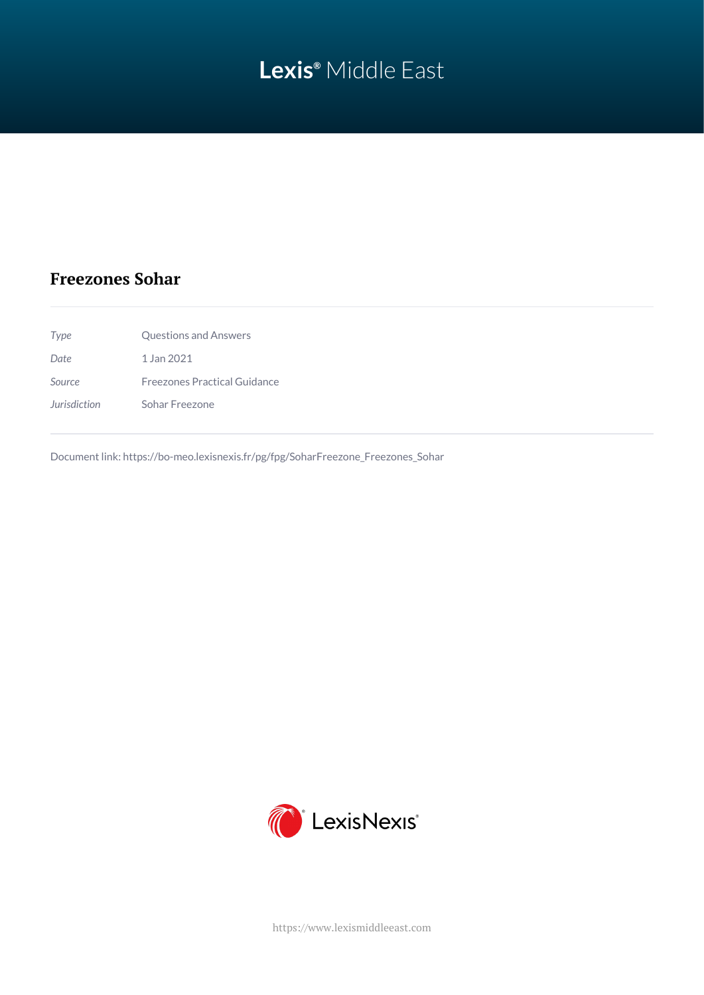# **Lexis®** Middle East

### **Freezones Sohar**

| Type         | Questions and Answers               |
|--------------|-------------------------------------|
| Date         | 1 Jan 2021                          |
| Source       | <b>Freezones Practical Guidance</b> |
| Jurisdiction | Sohar Freezone                      |

Document link: [https://bo-meo.lexisnexis.fr/pg/fpg/SoharFreezone\\_Freezones\\_Sohar](https://bo-meo.lexisnexis.fr/pg/fpg/SoharFreezone_Freezones_Sohar)



<https://www.lexismiddleeast.com>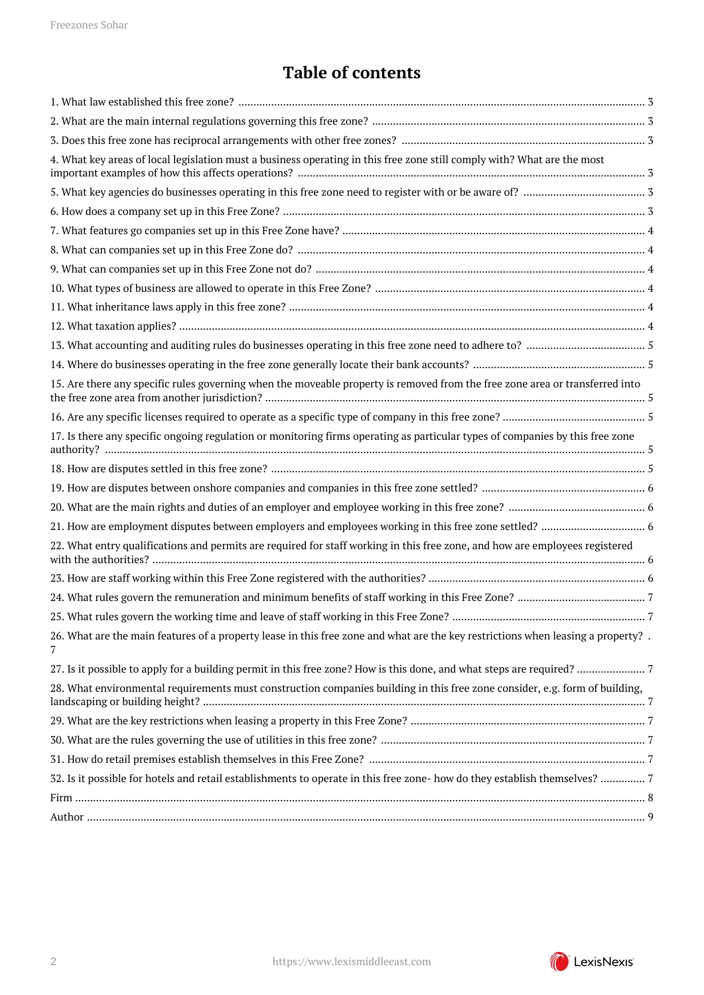## **Table of contents**

| 4. What key areas of local legislation must a business operating in this free zone still comply with? What are the most               |  |
|---------------------------------------------------------------------------------------------------------------------------------------|--|
|                                                                                                                                       |  |
|                                                                                                                                       |  |
|                                                                                                                                       |  |
|                                                                                                                                       |  |
|                                                                                                                                       |  |
|                                                                                                                                       |  |
|                                                                                                                                       |  |
|                                                                                                                                       |  |
|                                                                                                                                       |  |
|                                                                                                                                       |  |
| 15. Are there any specific rules governing when the moveable property is removed from the free zone area or transferred into          |  |
|                                                                                                                                       |  |
| 17. Is there any specific ongoing regulation or monitoring firms operating as particular types of companies by this free zone         |  |
|                                                                                                                                       |  |
|                                                                                                                                       |  |
|                                                                                                                                       |  |
|                                                                                                                                       |  |
| 22. What entry qualifications and permits are required for staff working in this free zone, and how are employees registered          |  |
|                                                                                                                                       |  |
|                                                                                                                                       |  |
|                                                                                                                                       |  |
| 26. What are the main features of a property lease in this free zone and what are the key restrictions when leasing a property?.<br>7 |  |
|                                                                                                                                       |  |
| 28. What environmental requirements must construction companies building in this free zone consider, e.g. form of building,           |  |
|                                                                                                                                       |  |
|                                                                                                                                       |  |
|                                                                                                                                       |  |
| 32. Is it possible for hotels and retail establishments to operate in this free zone- how do they establish themselves? 7             |  |
|                                                                                                                                       |  |
|                                                                                                                                       |  |

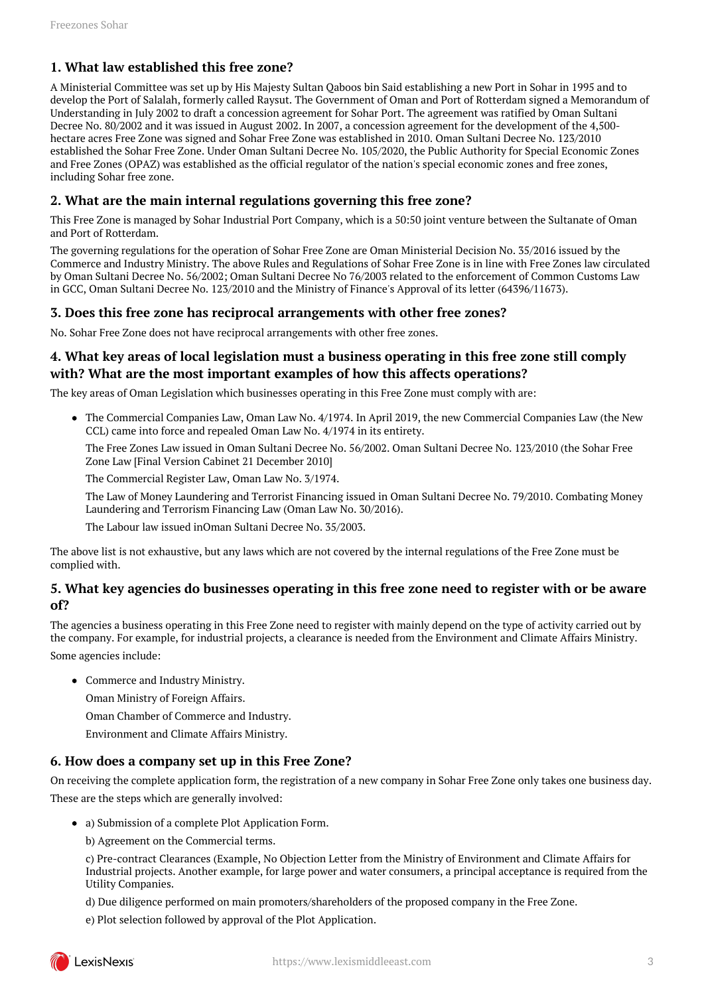#### <span id="page-2-0"></span>**1. What law established this free zone?**

A Ministerial Committee was set up by His Majesty Sultan Qaboos bin Said establishing a new Port in Sohar in 1995 and to develop the Port of Salalah, formerly called Raysut. The Government of Oman and Port of Rotterdam signed a Memorandum of Understanding in July 2002 to draft a concession agreement for Sohar Port. The agreement was ratified by Oman Sultani Decree No. 80/2002 and it was issued in August 2002. In 2007, a concession agreement for the development of the 4,500 hectare acres Free Zone was signed and Sohar Free Zone was established in 2010. Oman Sultani Decree No. 123/2010 established the Sohar Free Zone. Under Oman Sultani Decree No. 105/2020, the Public Authority for Special Economic Zones and Free Zones (OPAZ) was established as the official regulator of the nation's special economic zones and free zones, including Sohar free zone.

#### <span id="page-2-1"></span>**2. What are the main internal regulations governing this free zone?**

This Free Zone is managed by Sohar Industrial Port Company, which is a 50:50 joint venture between the Sultanate of Oman and Port of Rotterdam.

The governing regulations for the operation of Sohar Free Zone are Oman Ministerial Decision No. 35/2016 issued by the Commerce and Industry Ministry. The above Rules and Regulations of Sohar Free Zone is in line with Free Zones law circulated by Oman Sultani Decree No. 56/2002; Oman Sultani Decree No 76/2003 related to the enforcement of Common Customs Law in GCC, Oman Sultani Decree No. 123/2010 and the Ministry of Finance's Approval of its letter (64396/11673).

#### <span id="page-2-2"></span>**3. Does this free zone has reciprocal arrangements with other free zones?**

No. Sohar Free Zone does not have reciprocal arrangements with other free zones.

#### <span id="page-2-3"></span>**4. What key areas of local legislation must a business operating in this free zone still comply with? What are the most important examples of how this affects operations?**

The key areas of Oman Legislation which businesses operating in this Free Zone must comply with are:

The Commercial Companies Law, Oman Law No. 4/1974. In April 2019, the new Commercial Companies Law (the New CCL) came into force and repealed Oman Law No. 4/1974 in its entirety.

The Free Zones Law issued in Oman Sultani Decree No. 56/2002. Oman Sultani Decree No. 123/2010 (the Sohar Free Zone Law [Final Version Cabinet 21 December 2010]

The Commercial Register Law, Oman Law No. 3/1974.

The Law of Money Laundering and Terrorist Financing issued in Oman Sultani Decree No. 79/2010. Combating Money Laundering and Terrorism Financing Law (Oman Law No. 30/2016).

The Labour law issued inOman Sultani Decree No. 35/2003.

The above list is not exhaustive, but any laws which are not covered by the internal regulations of the Free Zone must be complied with.

#### <span id="page-2-4"></span>**5. What key agencies do businesses operating in this free zone need to register with or be aware of?**

The agencies a business operating in this Free Zone need to register with mainly depend on the type of activity carried out by the company. For example, for industrial projects, a clearance is needed from the Environment and Climate Affairs Ministry. Some agencies include:

- Commerce and Industry Ministry.
	- Oman Ministry of Foreign Affairs.

Oman Chamber of Commerce and Industry.

Environment and Climate Affairs Ministry.

#### <span id="page-2-5"></span>**6. How does a company set up in this Free Zone?**

On receiving the complete application form, the registration of a new company in Sohar Free Zone only takes one business day. These are the steps which are generally involved:

- a) Submission of a complete Plot Application Form.
	- b) Agreement on the Commercial terms.

c) Pre-contract Clearances (Example, No Objection Letter from the Ministry of Environment and Climate Affairs for Industrial projects. Another example, for large power and water consumers, a principal acceptance is required from the Utility Companies.

d) Due diligence performed on main promoters/shareholders of the proposed company in the Free Zone.

e) Plot selection followed by approval of the Plot Application.

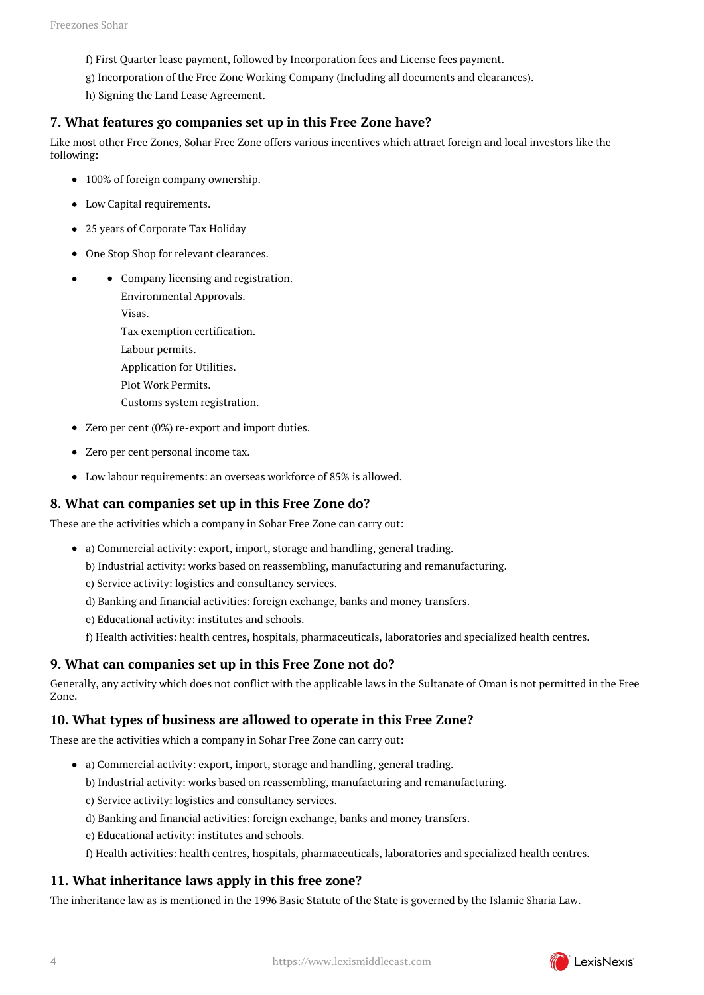- f) First Quarter lease payment, followed by Incorporation fees and License fees payment.
- g) Incorporation of the Free Zone Working Company (Including all documents and clearances).

h) Signing the Land Lease Agreement.

#### <span id="page-3-0"></span>**7. What features go companies set up in this Free Zone have?**

Like most other Free Zones, Sohar Free Zone offers various incentives which attract foreign and local investors like the following:

- 100% of foreign company ownership.
- Low Capital requirements.
- 25 years of Corporate Tax Holiday
- One Stop Shop for relevant clearances.
- Company licensing and registration.

Environmental Approvals. Visas. Tax exemption certification. Labour permits. Application for Utilities. Plot Work Permits. Customs system registration.

- Zero per cent (0%) re-export and import duties.
- Zero per cent personal income tax.
- Low labour requirements: an overseas workforce of 85% is allowed.

#### <span id="page-3-1"></span>**8. What can companies set up in this Free Zone do?**

These are the activities which a company in Sohar Free Zone can carry out:

- a) Commercial activity: export, import, storage and handling, general trading.
	- b) Industrial activity: works based on reassembling, manufacturing and remanufacturing.
	- c) Service activity: logistics and consultancy services.
	- d) Banking and financial activities: foreign exchange, banks and money transfers.
	- e) Educational activity: institutes and schools.
	- f) Health activities: health centres, hospitals, pharmaceuticals, laboratories and specialized health centres.

#### <span id="page-3-2"></span>**9. What can companies set up in this Free Zone not do?**

Generally, any activity which does not conflict with the applicable laws in the Sultanate of Oman is not permitted in the Free Zone.

#### <span id="page-3-3"></span>**10. What types of business are allowed to operate in this Free Zone?**

These are the activities which a company in Sohar Free Zone can carry out:

- a) Commercial activity: export, import, storage and handling, general trading.
	- b) Industrial activity: works based on reassembling, manufacturing and remanufacturing.
	- c) Service activity: logistics and consultancy services.
	- d) Banking and financial activities: foreign exchange, banks and money transfers.
	- e) Educational activity: institutes and schools.
	- f) Health activities: health centres, hospitals, pharmaceuticals, laboratories and specialized health centres.

#### <span id="page-3-4"></span>**11. What inheritance laws apply in this free zone?**

<span id="page-3-5"></span>The inheritance law as is mentioned in the 1996 Basic Statute of the State is governed by the Islamic Sharia Law.

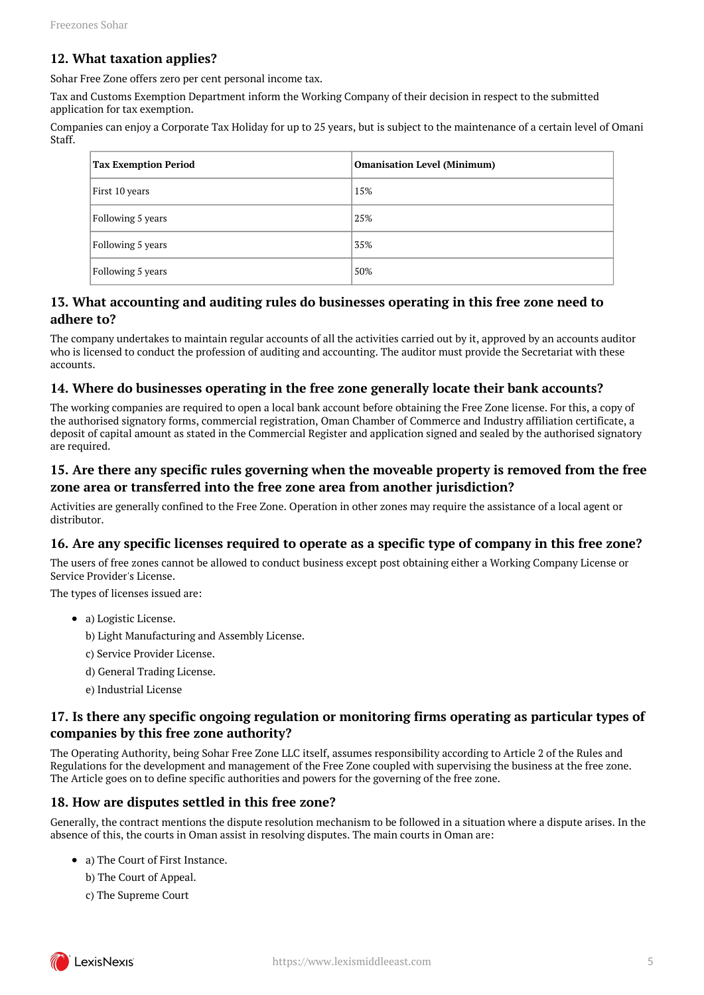#### **12. What taxation applies?**

Sohar Free Zone offers zero per cent personal income tax.

Tax and Customs Exemption Department inform the Working Company of their decision in respect to the submitted application for tax exemption.

Companies can enjoy a Corporate Tax Holiday for up to 25 years, but is subject to the maintenance of a certain level of Omani Staff.

|  | <b>Tax Exemption Period</b> | <b>Omanisation Level (Minimum)</b> |
|--|-----------------------------|------------------------------------|
|  | First 10 years              | 15%                                |
|  | Following 5 years           | 25%                                |
|  | Following 5 years           | 35%                                |
|  | Following 5 years           | 50%                                |

#### <span id="page-4-0"></span>**13. What accounting and auditing rules do businesses operating in this free zone need to adhere to?**

The company undertakes to maintain regular accounts of all the activities carried out by it, approved by an accounts auditor who is licensed to conduct the profession of auditing and accounting. The auditor must provide the Secretariat with these accounts.

#### <span id="page-4-1"></span>**14. Where do businesses operating in the free zone generally locate their bank accounts?**

The working companies are required to open a local bank account before obtaining the Free Zone license. For this, a copy of the authorised signatory forms, commercial registration, Oman Chamber of Commerce and Industry affiliation certificate, a deposit of capital amount as stated in the Commercial Register and application signed and sealed by the authorised signatory are required.

#### <span id="page-4-2"></span>**15. Are there any specific rules governing when the moveable property is removed from the free zone area or transferred into the free zone area from another jurisdiction?**

Activities are generally confined to the Free Zone. Operation in other zones may require the assistance of a local agent or distributor.

#### <span id="page-4-3"></span>**16. Are any specific licenses required to operate as a specific type of company in this free zone?**

The users of free zones cannot be allowed to conduct business except post obtaining either a Working Company License or Service Provider's License.

The types of licenses issued are:

- a) Logistic License.
	- b) Light Manufacturing and Assembly License.
	- c) Service Provider License.
	- d) General Trading License.
	- e) Industrial License

#### <span id="page-4-4"></span>**17. Is there any specific ongoing regulation or monitoring firms operating as particular types of companies by this free zone authority?**

The Operating Authority, being Sohar Free Zone LLC itself, assumes responsibility according to Article 2 of the Rules and Regulations for the development and management of the Free Zone coupled with supervising the business at the free zone. The Article goes on to define specific authorities and powers for the governing of the free zone.

#### <span id="page-4-5"></span>**18. How are disputes settled in this free zone?**

Generally, the contract mentions the dispute resolution mechanism to be followed in a situation where a dispute arises. In the absence of this, the courts in Oman assist in resolving disputes. The main courts in Oman are:

- a) The Court of First Instance.
	- b) The Court of Appeal.
	- c) The Supreme Court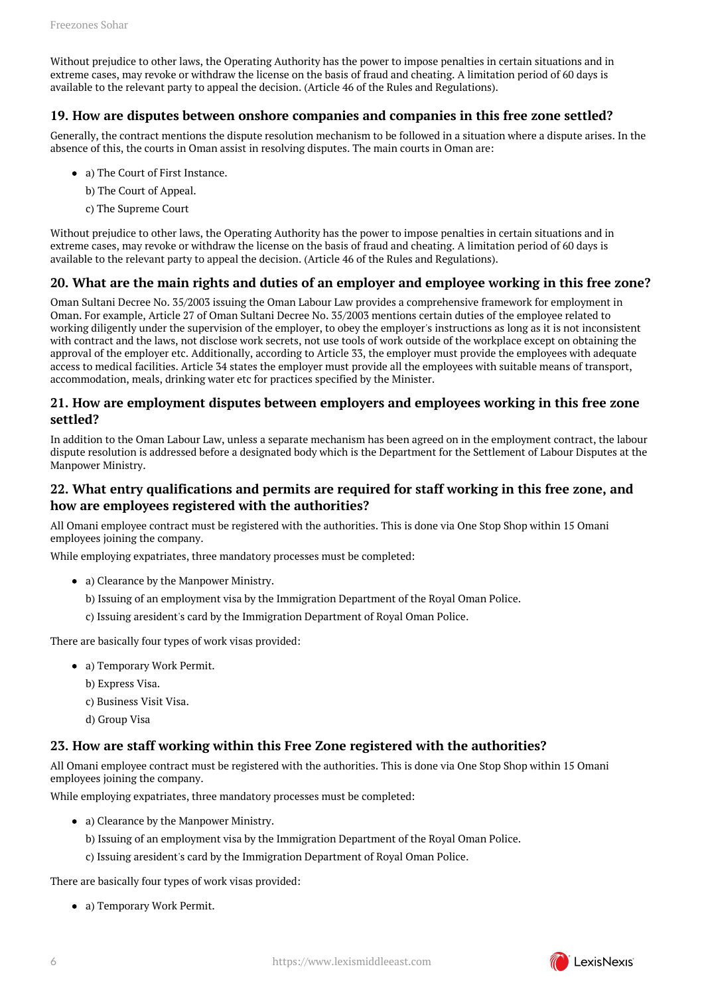Without prejudice to other laws, the Operating Authority has the power to impose penalties in certain situations and in extreme cases, may revoke or withdraw the license on the basis of fraud and cheating. A limitation period of 60 days is available to the relevant party to appeal the decision. (Article 46 of the Rules and Regulations).

#### <span id="page-5-0"></span>**19. How are disputes between onshore companies and companies in this free zone settled?**

Generally, the contract mentions the dispute resolution mechanism to be followed in a situation where a dispute arises. In the absence of this, the courts in Oman assist in resolving disputes. The main courts in Oman are:

- a) The Court of First Instance.
	- b) The Court of Appeal.
	- c) The Supreme Court

Without prejudice to other laws, the Operating Authority has the power to impose penalties in certain situations and in extreme cases, may revoke or withdraw the license on the basis of fraud and cheating. A limitation period of 60 days is available to the relevant party to appeal the decision. (Article 46 of the Rules and Regulations).

#### <span id="page-5-1"></span>**20. What are the main rights and duties of an employer and employee working in this free zone?**

Oman Sultani Decree No. 35/2003 issuing the Oman Labour Law provides a comprehensive framework for employment in Oman. For example, Article 27 of Oman Sultani Decree No. 35/2003 mentions certain duties of the employee related to working diligently under the supervision of the employer, to obey the employer's instructions as long as it is not inconsistent with contract and the laws, not disclose work secrets, not use tools of work outside of the workplace except on obtaining the approval of the employer etc. Additionally, according to Article 33, the employer must provide the employees with adequate access to medical facilities. Article 34 states the employer must provide all the employees with suitable means of transport, accommodation, meals, drinking water etc for practices specified by the Minister.

#### <span id="page-5-2"></span>**21. How are employment disputes between employers and employees working in this free zone settled?**

In addition to the Oman Labour Law, unless a separate mechanism has been agreed on in the employment contract, the labour dispute resolution is addressed before a designated body which is the Department for the Settlement of Labour Disputes at the Manpower Ministry.

#### <span id="page-5-3"></span>**22. What entry qualifications and permits are required for staff working in this free zone, and how are employees registered with the authorities?**

All Omani employee contract must be registered with the authorities. This is done via One Stop Shop within 15 Omani employees joining the company.

While employing expatriates, three mandatory processes must be completed:

- a) Clearance by the Manpower Ministry.
	- b) Issuing of an employment visa by the Immigration Department of the Royal Oman Police.
	- c) Issuing aresident's card by the Immigration Department of Royal Oman Police.

There are basically four types of work visas provided:

- a) Temporary Work Permit.
	- b) Express Visa.
	- c) Business Visit Visa.
	- d) Group Visa

#### <span id="page-5-4"></span>**23. How are staff working within this Free Zone registered with the authorities?**

All Omani employee contract must be registered with the authorities. This is done via One Stop Shop within 15 Omani employees joining the company.

While employing expatriates, three mandatory processes must be completed:

- a) Clearance by the Manpower Ministry.
	- b) Issuing of an employment visa by the Immigration Department of the Royal Oman Police.
	- c) Issuing aresident's card by the Immigration Department of Royal Oman Police.

There are basically four types of work visas provided:

a) Temporary Work Permit.

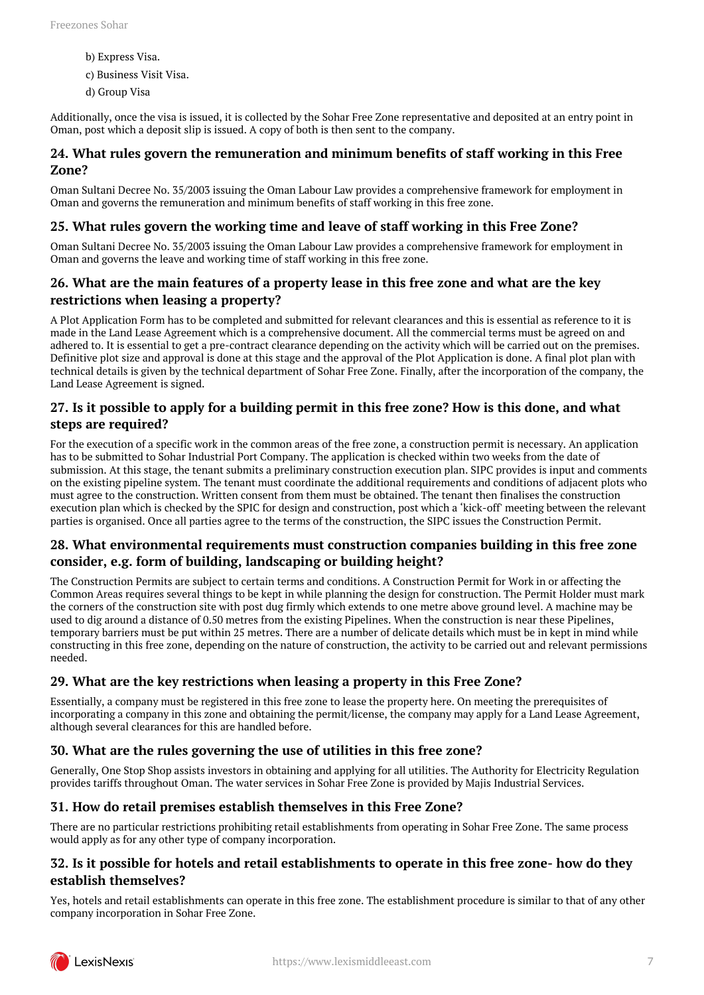- b) Express Visa.
- c) Business Visit Visa.
- d) Group Visa

Additionally, once the visa is issued, it is collected by the Sohar Free Zone representative and deposited at an entry point in Oman, post which a deposit slip is issued. A copy of both is then sent to the company.

#### <span id="page-6-0"></span>**24. What rules govern the remuneration and minimum benefits of staff working in this Free Zone?**

Oman Sultani Decree No. 35/2003 issuing the Oman Labour Law provides a comprehensive framework for employment in Oman and governs the remuneration and minimum benefits of staff working in this free zone.

#### <span id="page-6-1"></span>**25. What rules govern the working time and leave of staff working in this Free Zone?**

Oman Sultani Decree No. 35/2003 issuing the Oman Labour Law provides a comprehensive framework for employment in Oman and governs the leave and working time of staff working in this free zone.

#### <span id="page-6-2"></span>**26. What are the main features of a property lease in this free zone and what are the key restrictions when leasing a property?**

A Plot Application Form has to be completed and submitted for relevant clearances and this is essential as reference to it is made in the Land Lease Agreement which is a comprehensive document. All the commercial terms must be agreed on and adhered to. It is essential to get a pre-contract clearance depending on the activity which will be carried out on the premises. Definitive plot size and approval is done at this stage and the approval of the Plot Application is done. A final plot plan with technical details is given by the technical department of Sohar Free Zone. Finally, after the incorporation of the company, the Land Lease Agreement is signed.

#### <span id="page-6-3"></span>**27. Is it possible to apply for a building permit in this free zone? How is this done, and what steps are required?**

For the execution of a specific work in the common areas of the free zone, a construction permit is necessary. An application has to be submitted to Sohar Industrial Port Company. The application is checked within two weeks from the date of submission. At this stage, the tenant submits a preliminary construction execution plan. SIPC provides is input and comments on the existing pipeline system. The tenant must coordinate the additional requirements and conditions of adjacent plots who must agree to the construction. Written consent from them must be obtained. The tenant then finalises the construction execution plan which is checked by the SPIC for design and construction, post which a 'kick-off' meeting between the relevant parties is organised. Once all parties agree to the terms of the construction, the SIPC issues the Construction Permit.

#### <span id="page-6-4"></span>**28. What environmental requirements must construction companies building in this free zone consider, e.g. form of building, landscaping or building height?**

The Construction Permits are subject to certain terms and conditions. A Construction Permit for Work in or affecting the Common Areas requires several things to be kept in while planning the design for construction. The Permit Holder must mark the corners of the construction site with post dug firmly which extends to one metre above ground level. A machine may be used to dig around a distance of 0.50 metres from the existing Pipelines. When the construction is near these Pipelines, temporary barriers must be put within 25 metres. There are a number of delicate details which must be in kept in mind while constructing in this free zone, depending on the nature of construction, the activity to be carried out and relevant permissions needed.

#### <span id="page-6-5"></span>**29. What are the key restrictions when leasing a property in this Free Zone?**

Essentially, a company must be registered in this free zone to lease the property here. On meeting the prerequisites of incorporating a company in this zone and obtaining the permit/license, the company may apply for a Land Lease Agreement, although several clearances for this are handled before.

#### <span id="page-6-6"></span>**30. What are the rules governing the use of utilities in this free zone?**

Generally, One Stop Shop assists investors in obtaining and applying for all utilities. The Authority for Electricity Regulation provides tariffs throughout Oman. The water services in Sohar Free Zone is provided by Majis Industrial Services.

#### <span id="page-6-7"></span>**31. How do retail premises establish themselves in this Free Zone?**

There are no particular restrictions prohibiting retail establishments from operating in Sohar Free Zone. The same process would apply as for any other type of company incorporation.

#### <span id="page-6-8"></span>**32. Is it possible for hotels and retail establishments to operate in this free zone- how do they establish themselves?**

Yes, hotels and retail establishments can operate in this free zone. The establishment procedure is similar to that of any other company incorporation in Sohar Free Zone.

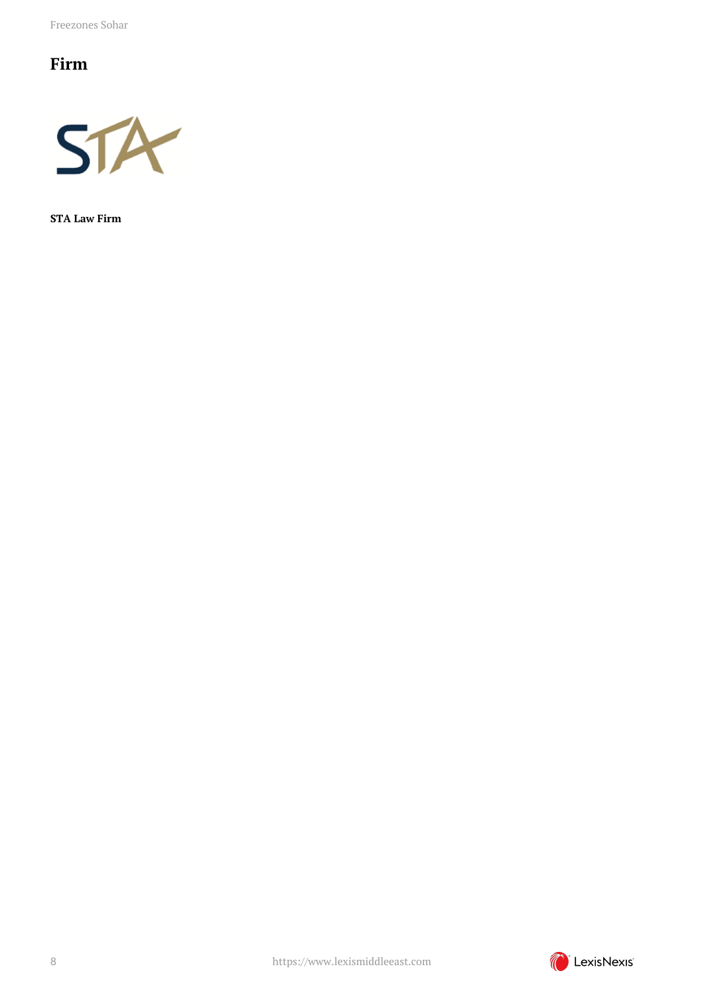Freezones Sohar

## <span id="page-7-0"></span>**Firm**



**STA Law Firm**